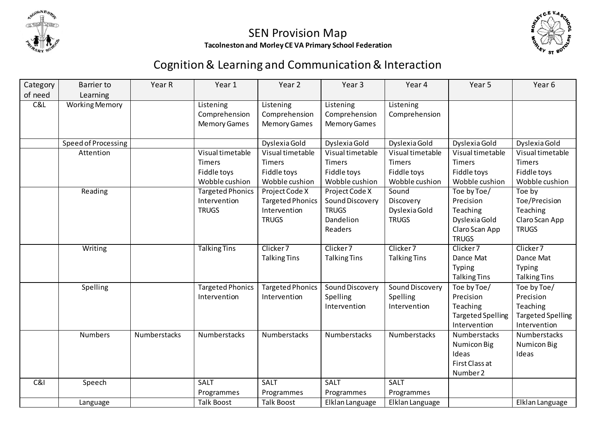



## SEN Provision Map **Tacolneston and Morley CE VA Primary School Federation**

## Cognition & Learning and Communication & Interaction

| Category | Barrier to            | Year R       | Year 1                  | Year 2                  | Year <sub>3</sub>   | Year 4               | Year 5                   | Year <sub>6</sub>        |
|----------|-----------------------|--------------|-------------------------|-------------------------|---------------------|----------------------|--------------------------|--------------------------|
| of need  | Learning              |              |                         |                         |                     |                      |                          |                          |
| C&L      | <b>Working Memory</b> |              | Listening               | Listening               | Listening           | Listening            |                          |                          |
|          |                       |              | Comprehension           | Comprehension           | Comprehension       | Comprehension        |                          |                          |
|          |                       |              | <b>Memory Games</b>     | <b>Memory Games</b>     | <b>Memory Games</b> |                      |                          |                          |
|          |                       |              |                         |                         |                     |                      |                          |                          |
|          | Speed of Processing   |              |                         | Dyslexia Gold           | Dyslexia Gold       | Dyslexia Gold        | Dyslexia Gold            | Dyslexia Gold            |
|          | Attention             |              | Visual timetable        | Visual timetable        | Visual timetable    | Visual timetable     | Visual timetable         | Visual timetable         |
|          |                       |              | <b>Timers</b>           | Timers                  | Timers              | Timers               | Timers                   | Timers                   |
|          |                       |              | Fiddle toys             | Fiddle toys             | Fiddle toys         | Fiddle toys          | Fiddle toys              | Fiddle toys              |
|          |                       |              | Wobble cushion          | Wobble cushion          | Wobble cushion      | Wobble cushion       | Wobble cushion           | Wobble cushion           |
|          | Reading               |              | <b>Targeted Phonics</b> | Project Code X          | Project Code X      | Sound                | Toe by Toe/              | Toe by                   |
|          |                       |              | Intervention            | <b>Targeted Phonics</b> | Sound Discovery     | Discovery            | Precision                | Toe/Precision            |
|          |                       |              | <b>TRUGS</b>            | Intervention            | <b>TRUGS</b>        | Dyslexia Gold        | Teaching                 | Teaching                 |
|          |                       |              |                         | <b>TRUGS</b>            | Dandelion           | <b>TRUGS</b>         | Dyslexia Gold            | Claro Scan App           |
|          |                       |              |                         |                         | Readers             |                      | Claro Scan App           | <b>TRUGS</b>             |
|          |                       |              |                         |                         |                     |                      | <b>TRUGS</b>             |                          |
|          | Writing               |              | <b>Talking Tins</b>     | Clicker <sub>7</sub>    | Clicker 7           | Clicker <sub>7</sub> | Clicker 7                | Clicker 7                |
|          |                       |              |                         | <b>Talking Tins</b>     | <b>Talking Tins</b> | <b>Talking Tins</b>  | Dance Mat                | Dance Mat                |
|          |                       |              |                         |                         |                     |                      | Typing                   | Typing                   |
|          |                       |              |                         |                         |                     |                      | <b>Talking Tins</b>      | <b>Talking Tins</b>      |
|          | Spelling              |              | <b>Targeted Phonics</b> | <b>Targeted Phonics</b> | Sound Discovery     | Sound Discovery      | Toe by Toe/              | Toe by Toe/              |
|          |                       |              | Intervention            | Intervention            | Spelling            | Spelling             | Precision                | Precision                |
|          |                       |              |                         |                         | Intervention        | Intervention         | Teaching                 | Teaching                 |
|          |                       |              |                         |                         |                     |                      | <b>Targeted Spelling</b> | <b>Targeted Spelling</b> |
|          |                       |              |                         |                         |                     |                      | Intervention             | Intervention             |
|          | <b>Numbers</b>        | Numberstacks | Numberstacks            | Numberstacks            | Numberstacks        | Numberstacks         | Numberstacks             | Numberstacks             |
|          |                       |              |                         |                         |                     |                      | <b>Numicon Big</b>       | Numicon Big              |
|          |                       |              |                         |                         |                     |                      | Ideas                    | Ideas                    |
|          |                       |              |                         |                         |                     |                      | First Class at           |                          |
|          |                       |              |                         |                         |                     |                      | Number 2                 |                          |
| C&l      | Speech                |              | SALT                    | <b>SALT</b>             | SALT                | SALT                 |                          |                          |
|          |                       |              | Programmes              | Programmes              | Programmes          | Programmes           |                          |                          |
|          | Language              |              | <b>Talk Boost</b>       | <b>Talk Boost</b>       | Elklan Language     | Elklan Language      |                          | Elklan Language          |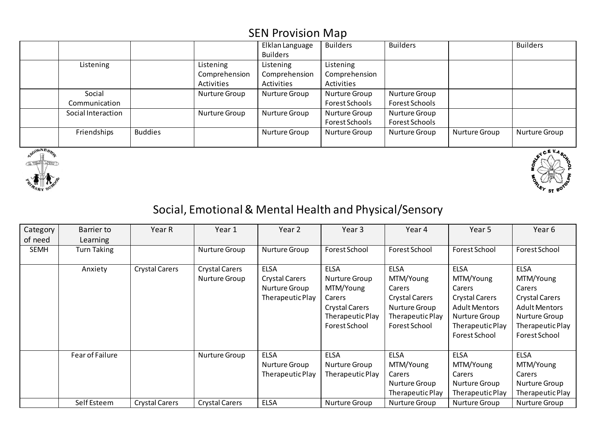|                    |                |               | Elklan Language | <b>Builders</b> | <b>Builders</b> |               | <b>Builders</b> |
|--------------------|----------------|---------------|-----------------|-----------------|-----------------|---------------|-----------------|
|                    |                |               | <b>Builders</b> |                 |                 |               |                 |
| Listening          |                | Listening     | Listening       | Listening       |                 |               |                 |
|                    |                | Comprehension | Comprehension   | Comprehension   |                 |               |                 |
|                    |                | Activities    | Activities      | Activities      |                 |               |                 |
| Social             |                | Nurture Group | Nurture Group   | Nurture Group   | Nurture Group   |               |                 |
| Communication      |                |               |                 | Forest Schools  | Forest Schools  |               |                 |
| Social Interaction |                | Nurture Group | Nurture Group   | Nurture Group   | Nurture Group   |               |                 |
|                    |                |               |                 | Forest Schools  | Forest Schools  |               |                 |
| Friendships        | <b>Buddies</b> |               | Nurture Group   | Nurture Group   | Nurture Group   | Nurture Group | Nurture Group   |
|                    |                |               |                 |                 |                 |               |                 |





## Social, Emotional & Mental Health and Physical/Sensory

| Category    | Barrier to      | Year R                | Year 1                                 | Year 2                                                                    | Year 3                                                                                                            | Year 4                                                                                                            | Year 5                                                                                                                                    | Year 6                                                                                                                             |
|-------------|-----------------|-----------------------|----------------------------------------|---------------------------------------------------------------------------|-------------------------------------------------------------------------------------------------------------------|-------------------------------------------------------------------------------------------------------------------|-------------------------------------------------------------------------------------------------------------------------------------------|------------------------------------------------------------------------------------------------------------------------------------|
| of need     | Learning        |                       |                                        |                                                                           |                                                                                                                   |                                                                                                                   |                                                                                                                                           |                                                                                                                                    |
| <b>SEMH</b> | Turn Taking     |                       | Nurture Group                          | Nurture Group                                                             | Forest School                                                                                                     | Forest School                                                                                                     | Forest School                                                                                                                             | Forest School                                                                                                                      |
|             | Anxiety         | <b>Crystal Carers</b> | <b>Crystal Carers</b><br>Nurture Group | <b>ELSA</b><br><b>Crystal Carers</b><br>Nurture Group<br>Therapeutic Play | <b>ELSA</b><br>Nurture Group<br>MTM/Young<br>Carers<br><b>Crystal Carers</b><br>Therapeutic Play<br>Forest School | <b>ELSA</b><br>MTM/Young<br>Carers<br><b>Crystal Carers</b><br>Nurture Group<br>Therapeutic Play<br>Forest School | <b>ELSA</b><br>MTM/Young<br>Carers<br><b>Crystal Carers</b><br><b>Adult Mentors</b><br>Nurture Group<br>Therapeutic Play<br>Forest School | <b>ELSA</b><br>MTM/Young<br>Carers<br>Crystal Carers<br><b>Adult Mentors</b><br>Nurture Group<br>Therapeutic Play<br>Forest School |
|             | Fear of Failure |                       | Nurture Group                          | <b>ELSA</b><br>Nurture Group<br>Therapeutic Play                          | <b>ELSA</b><br>Nurture Group<br>Therapeutic Play                                                                  | <b>ELSA</b><br>MTM/Young<br>Carers<br>Nurture Group<br>Therapeutic Play                                           | <b>ELSA</b><br>MTM/Young<br>Carers<br>Nurture Group<br>Therapeutic Play                                                                   | <b>ELSA</b><br>MTM/Young<br>Carers<br>Nurture Group<br>Therapeutic Play                                                            |
|             | Self Esteem     | <b>Crystal Carers</b> | <b>Crystal Carers</b>                  | <b>ELSA</b>                                                               | Nurture Group                                                                                                     | Nurture Group                                                                                                     | Nurture Group                                                                                                                             | Nurture Group                                                                                                                      |

## SEN Provision Map